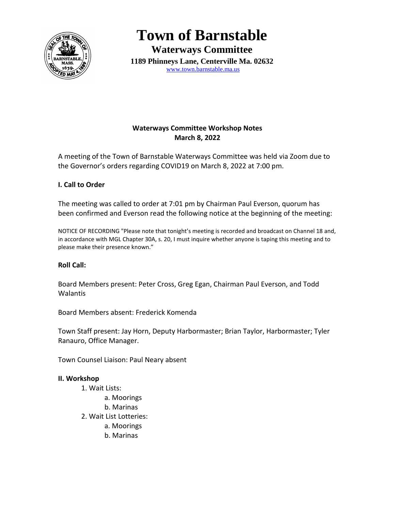

**Town of Barnstable**

**Waterways Committee 1189 Phinneys Lane, Centerville Ma. 02632** [www.town.barnstable.ma.us](http://www.town.barnstable.ma.us/)

## **Waterways Committee Workshop Notes March 8, 2022**

A meeting of the Town of Barnstable Waterways Committee was held via Zoom due to the Governor's orders regarding COVID19 on March 8, 2022 at 7:00 pm.

## **I. Call to Order**

The meeting was called to order at 7:01 pm by Chairman Paul Everson, quorum has been confirmed and Everson read the following notice at the beginning of the meeting:

NOTICE OF RECORDING "Please note that tonight's meeting is recorded and broadcast on Channel 18 and, in accordance with MGL Chapter 30A, s. 20, I must inquire whether anyone is taping this meeting and to please make their presence known."

## **Roll Call:**

Board Members present: Peter Cross, Greg Egan, Chairman Paul Everson, and Todd Walantis

Board Members absent: Frederick Komenda

Town Staff present: Jay Horn, Deputy Harbormaster; Brian Taylor, Harbormaster; Tyler Ranauro, Office Manager.

Town Counsel Liaison: Paul Neary absent

## **II. Workshop**

1. Wait Lists: a. Moorings b. Marinas 2. Wait List Lotteries: a. Moorings b. Marinas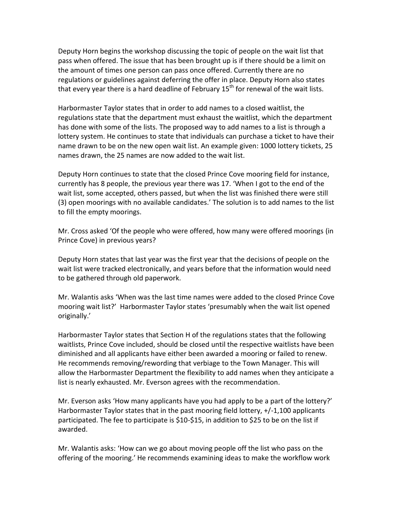Deputy Horn begins the workshop discussing the topic of people on the wait list that pass when offered. The issue that has been brought up is if there should be a limit on the amount of times one person can pass once offered. Currently there are no regulations or guidelines against deferring the offer in place. Deputy Horn also states that every year there is a hard deadline of February  $15<sup>th</sup>$  for renewal of the wait lists.

Harbormaster Taylor states that in order to add names to a closed waitlist, the regulations state that the department must exhaust the waitlist, which the department has done with some of the lists. The proposed way to add names to a list is through a lottery system. He continues to state that individuals can purchase a ticket to have their name drawn to be on the new open wait list. An example given: 1000 lottery tickets, 25 names drawn, the 25 names are now added to the wait list.

Deputy Horn continues to state that the closed Prince Cove mooring field for instance, currently has 8 people, the previous year there was 17. 'When I got to the end of the wait list, some accepted, others passed, but when the list was finished there were still (3) open moorings with no available candidates.' The solution is to add names to the list to fill the empty moorings.

Mr. Cross asked 'Of the people who were offered, how many were offered moorings (in Prince Cove) in previous years?

Deputy Horn states that last year was the first year that the decisions of people on the wait list were tracked electronically, and years before that the information would need to be gathered through old paperwork.

Mr. Walantis asks 'When was the last time names were added to the closed Prince Cove mooring wait list?' Harbormaster Taylor states 'presumably when the wait list opened originally.'

Harbormaster Taylor states that Section H of the regulations states that the following waitlists, Prince Cove included, should be closed until the respective waitlists have been diminished and all applicants have either been awarded a mooring or failed to renew. He recommends removing/rewording that verbiage to the Town Manager. This will allow the Harbormaster Department the flexibility to add names when they anticipate a list is nearly exhausted. Mr. Everson agrees with the recommendation.

Mr. Everson asks 'How many applicants have you had apply to be a part of the lottery?' Harbormaster Taylor states that in the past mooring field lottery, +/-1,100 applicants participated. The fee to participate is \$10-\$15, in addition to \$25 to be on the list if awarded.

Mr. Walantis asks: 'How can we go about moving people off the list who pass on the offering of the mooring.' He recommends examining ideas to make the workflow work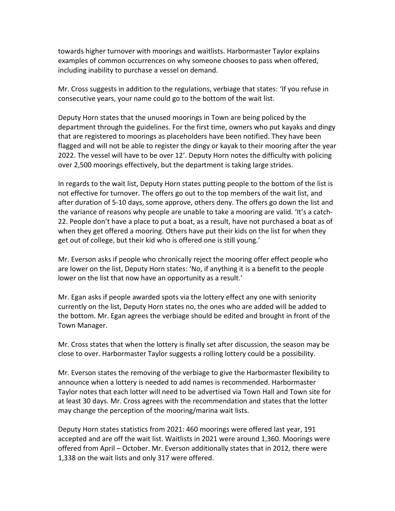towards higher turnover with moorings and waitlists. Harbormaster Taylor explains examples of common occurrences on why someone chooses to pass when offered, including inability to purchase a vessel on demand.

Mr. Cross suggests in addition to the regulations, verbiage that states: 'If you refuse in consecutive years, your name could go to the bottom of the wait list.

Deputy Horn states that the unused moorings in Town are being policed by the department through the guidelines. For the first time, owners who put kayaks and dingy that are registered to moorings as placeholders have been notified. They have been flagged and will not be able to register the dingy or kayak to their mooring after the year 2022. The vessel will have to be over 12'. Deputy Horn notes the difficulty with policing over 2,500 moorings effectively, but the department is taking large strides.

In regards to the wait list, Deputy Horn states putting people to the bottom of the list is not effective for turnover. The offers go out to the top members of the wait list, and after duration of 5-10 days, some approve, others deny. The offers go down the list and the variance of reasons why people are unable to take a mooring are valid. 'It's a catch-22. People don't have a place to put a boat, as a result, have not purchased a boat as of when they get offered a mooring. Others have put their kids on the list for when they get out of college, but their kid who is offered one is still young.'

Mr. Everson asks if people who chronically reject the mooring offer effect people who are lower on the list, Deputy Horn states: 'No, if anything it is a benefit to the people lower on the list that now have an opportunity as a result.'

Mr. Egan asks if people awarded spots via the lottery effect any one with seniority currently on the list, Deputy Horn states no, the ones who are added will be added to the bottom. Mr. Egan agrees the verbiage should be edited and brought in front of the Town Manager.

Mr. Cross states that when the lottery is finally set after discussion, the season may be close to over. Harbormaster Taylor suggests a rolling lottery could be a possibility.

Mr. Everson states the removing of the verbiage to give the Harbormaster flexibility to announce when a lottery is needed to add names is recommended. Harbormaster Taylor notes that each lotter will need to be advertised via Town Hall and Town site for at least 30 days. Mr. Cross agrees with the recommendation and states that the lotter may change the perception of the mooring/marina wait lists.

Deputy Horn states statistics from 2021: 460 moorings were offered last year, 191 accepted and are off the wait list. Waitlists in 2021 were around 1,360. Moorings were offered from April – October. Mr. Everson additionally states that in 2012, there were 1,338 on the wait lists and only 317 were offered.